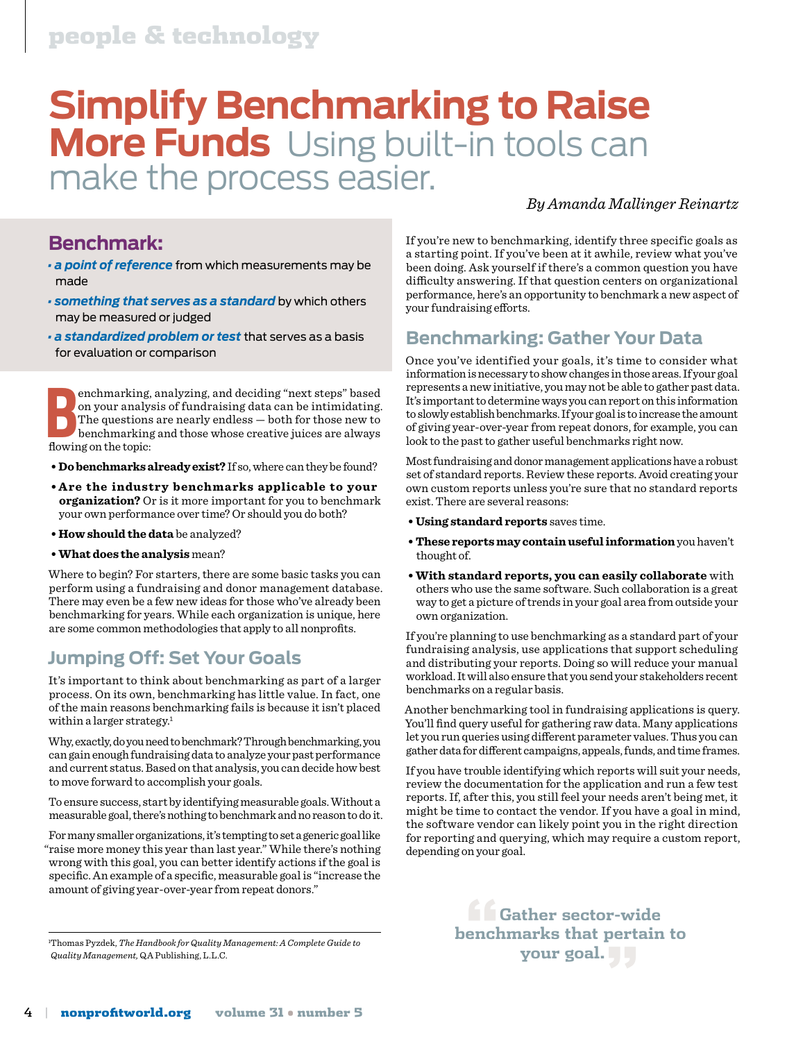# people & technology

# **Simplify Benchmarking to Raise More Funds** Using built-in tools can make the process easier.

#### *By Amanda Mallinger Reinartz*

# **Benchmark:**

- *a point of reference* from which measurements may be made
- *something that serves as a standard* by which others may be measured or judged
- *a standardized problem or test* that serves as a basis for evaluation or comparison

**B**enchmarking<br>
on your analy<br>
The questions<br>
benchmarking<br>
flowing on the topic: enchmarking, analyzing, and deciding "next steps" based on your analysis of fundraising data can be intimidating. The questions are nearly endless — both for those new to benchmarking and those whose creative juices are always

- **Do benchmarks already exist?** If so, where can they be found?
- **Are the industry benchmarks applicable to your organization?** Or is it more important for you to benchmark your own performance over time? Or should you do both?
- **How should the data** be analyzed?
- **What does the analysis** mean?

Where to begin? For starters, there are some basic tasks you can perform using a fundraising and donor management database. There may even be a few new ideas for those who've already been benchmarking for years. While each organization is unique, here are some common methodologies that apply to all nonprofits.

## **Jumping Off: Set Your Goals**

It's important to think about benchmarking as part of a larger process. On its own, benchmarking has little value. In fact, one of the main reasons benchmarking fails is because it isn't placed within a larger strategy.<sup>1</sup>

Why, exactly, do you need to benchmark? Through benchmarking, you can gain enough fundraising data to analyze your past performance and current status. Based on that analysis, you can decide how best to move forward to accomplish your goals.

To ensure success, start by identifying measurable goals. Without a measurable goal, there's nothing to benchmark and no reason to do it.

For many smaller organizations, it's tempting to set a generic goal like "raise more money this year than last year." While there's nothing wrong with this goal, you can better identify actions if the goal is specific. An example of a specific, measurable goal is "increase the amount of giving year-over-year from repeat donors."

Thomas Pyzdek, *The Handbook for Quality Management: A Complete Guide to*<br>
Quality Management, QA Publishing, L.L.C.<br> **YOUF SOAL** Thomas Pyzdek, *The Handbook for Quality Management: A Complete Guide to Quality Management,* QA Publishing, L.L.C.

If you're new to benchmarking, identify three specific goals as a starting point. If you've been at it awhile, review what you've been doing. Ask yourself if there's a common question you have difficulty answering. If that question centers on organizational performance, here's an opportunity to benchmark a new aspect of your fundraising efforts.

### **Benchmarking: Gather Your Data**

Once you've identified your goals, it's time to consider what information is necessary to show changes in those areas. If your goal represents a new initiative, you may not be able to gather past data. It's important to determine ways you can report on this information to slowly establish benchmarks. If your goal is to increase the amount of giving year-over-year from repeat donors, for example, you can look to the past to gather useful benchmarks right now.

Most fundraising and donor management applications have a robust set of standard reports. Review these reports. Avoid creating your own custom reports unless you're sure that no standard reports exist. There are several reasons:

- **Using standard reports** saves time.
- **These reports may contain useful information** you haven't thought of.
- **With standard reports, you can easily collaborate** with others who use the same software. Such collaboration is a great way to get a picture of trends in your goal area from outside your own organization.

If you're planning to use benchmarking as a standard part of your fundraising analysis, use applications that support scheduling and distributing your reports. Doing so will reduce your manual workload. It will also ensure that you send your stakeholders recent benchmarks on a regular basis.

Another benchmarking tool in fundraising applications is query. You'll find query useful for gathering raw data. Many applications let you run queries using different parameter values. Thus you can gather data for different campaigns, appeals, funds, and time frames.

If you have trouble identifying which reports will suit your needs, review the documentation for the application and run a few test reports. If, after this, you still feel your needs aren't being met, it might be time to contact the vendor. If you have a goal in mind, the software vendor can likely point you in the right direction for reporting and querying, which may require a custom report, depending on your goal.

> **f C**ather sector-wide<br>enchmarks that pertain<br>your goal. **benchmarks that pertain to**